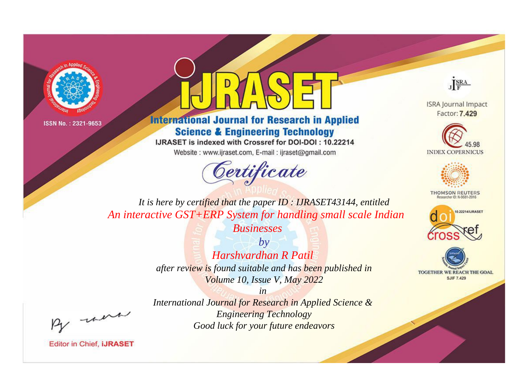



**International Journal for Research in Applied Science & Engineering Technology** 

IJRASET is indexed with Crossref for DOI-DOI: 10.22214

Website: www.ijraset.com, E-mail: ijraset@gmail.com





**ISRA Journal Impact** Factor: 7.429





**THOMSON REUTERS** 



TOGETHER WE REACH THE GOAL **SJIF 7.429** 

*It is here by certified that the paper ID : IJRASET43144, entitled An interactive GST+ERP System for handling small scale Indian* 

*Businesses*

*by Harshvardhan R Patil after review is found suitable and has been published in Volume 10, Issue V, May 2022*

*in* 

, un

*International Journal for Research in Applied Science & Engineering Technology Good luck for your future endeavors*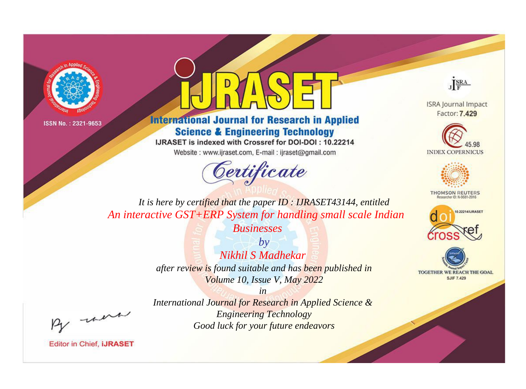



**International Journal for Research in Applied Science & Engineering Technology** 

IJRASET is indexed with Crossref for DOI-DOI: 10.22214

Website: www.ijraset.com, E-mail: ijraset@gmail.com





**ISRA Journal Impact** Factor: 7.429





**THOMSON REUTERS** 



TOGETHER WE REACH THE GOAL **SJIF 7.429** 

*It is here by certified that the paper ID : IJRASET43144, entitled An interactive GST+ERP System for handling small scale Indian* 

*Businesses*

*by Nikhil S Madhekar after review is found suitable and has been published in Volume 10, Issue V, May 2022*

, un

*International Journal for Research in Applied Science & Engineering Technology Good luck for your future endeavors*

*in*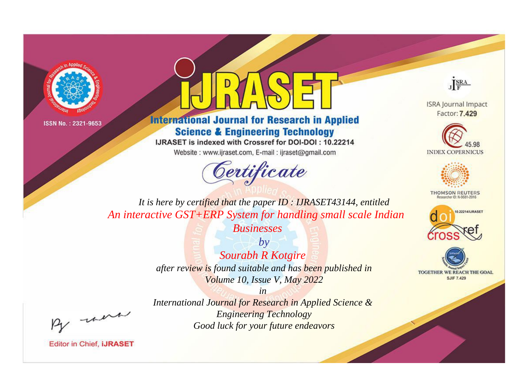



**International Journal for Research in Applied Science & Engineering Technology** 

IJRASET is indexed with Crossref for DOI-DOI: 10.22214

Website: www.ijraset.com, E-mail: ijraset@gmail.com





**ISRA Journal Impact** Factor: 7.429





**THOMSON REUTERS** 



TOGETHER WE REACH THE GOAL **SJIF 7.429** 

*It is here by certified that the paper ID : IJRASET43144, entitled An interactive GST+ERP System for handling small scale Indian* 

*Businesses*

*by Sourabh R Kotgire after review is found suitable and has been published in Volume 10, Issue V, May 2022*

, un

*International Journal for Research in Applied Science & Engineering Technology Good luck for your future endeavors*

*in*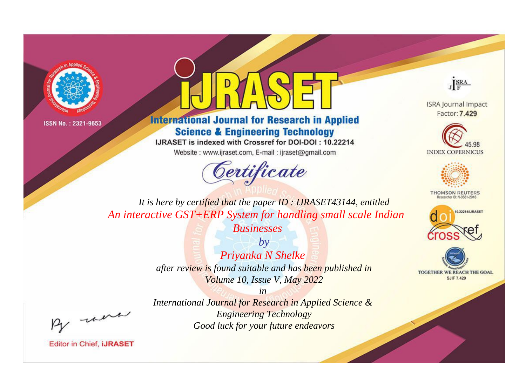



**International Journal for Research in Applied Science & Engineering Technology** 

IJRASET is indexed with Crossref for DOI-DOI: 10.22214

Website: www.ijraset.com, E-mail: ijraset@gmail.com





**ISRA Journal Impact** Factor: 7.429





**THOMSON REUTERS** 



TOGETHER WE REACH THE GOAL **SJIF 7.429** 

*It is here by certified that the paper ID : IJRASET43144, entitled An interactive GST+ERP System for handling small scale Indian* 

> *Businesses by*

*Priyanka N Shelke after review is found suitable and has been published in Volume 10, Issue V, May 2022*

*in* 

, un

*International Journal for Research in Applied Science & Engineering Technology Good luck for your future endeavors*